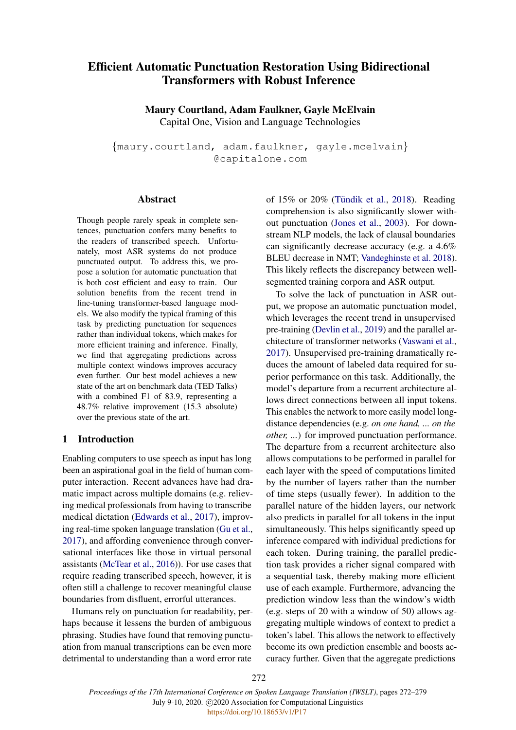# Efficient Automatic Punctuation Restoration Using Bidirectional Transformers with Robust Inference

Maury Courtland, Adam Faulkner, Gayle McElvain Capital One, Vision and Language Technologies

{maury.courtland, adam.faulkner, gayle.mcelvain} @capitalone.com

### Abstract

Though people rarely speak in complete sentences, punctuation confers many benefits to the readers of transcribed speech. Unfortunately, most ASR systems do not produce punctuated output. To address this, we propose a solution for automatic punctuation that is both cost efficient and easy to train. Our solution benefits from the recent trend in fine-tuning transformer-based language models. We also modify the typical framing of this task by predicting punctuation for sequences rather than individual tokens, which makes for more efficient training and inference. Finally, we find that aggregating predictions across multiple context windows improves accuracy even further. Our best model achieves a new state of the art on benchmark data (TED Talks) with a combined F1 of 83.9, representing a 48.7% relative improvement (15.3 absolute) over the previous state of the art.

## 1 Introduction

Enabling computers to use speech as input has long been an aspirational goal in the field of human computer interaction. Recent advances have had dramatic impact across multiple domains (e.g. relieving medical professionals from having to transcribe medical dictation [\(Edwards et al.,](#page-5-0) [2017\)](#page-5-0), improving real-time spoken language translation [\(Gu et al.,](#page-5-1) [2017\)](#page-5-1), and affording convenience through conversational interfaces like those in virtual personal assistants [\(McTear et al.,](#page-5-2) [2016\)](#page-5-2)). For use cases that require reading transcribed speech, however, it is often still a challenge to recover meaningful clause boundaries from disfluent, errorful utterances.

Humans rely on punctuation for readability, perhaps because it lessens the burden of ambiguous phrasing. Studies have found that removing punctuation from manual transcriptions can be even more detrimental to understanding than a word error rate

of  $15\%$  or  $20\%$  (Tündik et al., [2018\)](#page-6-0). Reading comprehension is also significantly slower without punctuation [\(Jones et al.,](#page-5-3) [2003\)](#page-5-3). For downstream NLP models, the lack of clausal boundaries can significantly decrease accuracy (e.g. a 4.6% BLEU decrease in NMT; [Vandeghinste et al.](#page-6-1) [2018\)](#page-6-1). This likely reflects the discrepancy between wellsegmented training corpora and ASR output.

To solve the lack of punctuation in ASR output, we propose an automatic punctuation model, which leverages the recent trend in unsupervised pre-training [\(Devlin et al.,](#page-4-0) [2019\)](#page-4-0) and the parallel architecture of transformer networks [\(Vaswani et al.,](#page-6-2) [2017\)](#page-6-2). Unsupervised pre-training dramatically reduces the amount of labeled data required for superior performance on this task. Additionally, the model's departure from a recurrent architecture allows direct connections between all input tokens. This enables the network to more easily model longdistance dependencies (e.g. *on one hand, ... on the other, ...*) for improved punctuation performance. The departure from a recurrent architecture also allows computations to be performed in parallel for each layer with the speed of computations limited by the number of layers rather than the number of time steps (usually fewer). In addition to the parallel nature of the hidden layers, our network also predicts in parallel for all tokens in the input simultaneously. This helps significantly speed up inference compared with individual predictions for each token. During training, the parallel prediction task provides a richer signal compared with a sequential task, thereby making more efficient use of each example. Furthermore, advancing the prediction window less than the window's width (e.g. steps of 20 with a window of 50) allows aggregating multiple windows of context to predict a token's label. This allows the network to effectively become its own prediction ensemble and boosts accuracy further. Given that the aggregate predictions

272

*Proceedings of the 17th International Conference on Spoken Language Translation (IWSLT)*, pages 272–279 July 9-10, 2020. C 2020 Association for Computational Linguistics

https://doi.org/10.18653/v1/P17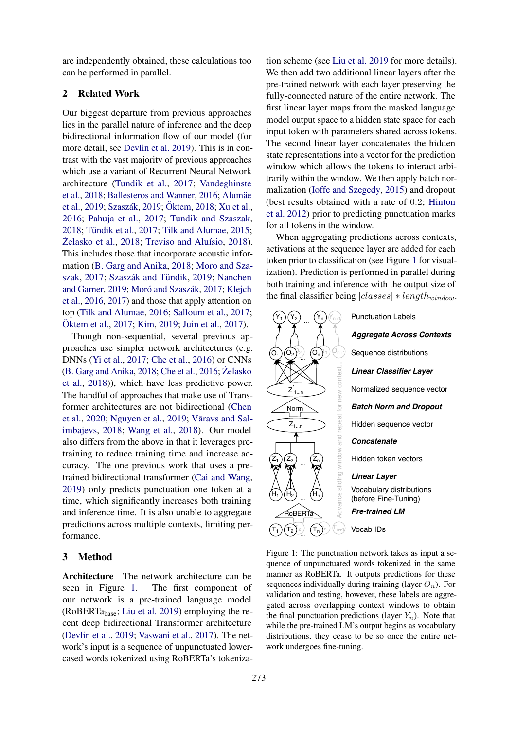are independently obtained, these calculations too can be performed in parallel.

# 2 Related Work

Our biggest departure from previous approaches lies in the parallel nature of inference and the deep bidirectional information flow of our model (for more detail, see [Devlin et al.](#page-4-0) [2019\)](#page-4-0). This is in contrast with the vast majority of previous approaches which use a variant of Recurrent Neural Network architecture [\(Tundik et al.,](#page-6-3) [2017;](#page-6-3) [Vandeghinste](#page-6-1) [et al.,](#page-6-1) [2018;](#page-6-1) [Ballesteros and Wanner,](#page-4-1) [2016;](#page-4-1) Alumäe [et al.,](#page-4-2) [2019;](#page-6-4) Szaszák, 2019; Öktem, [2018;](#page-7-0) [Xu et al.,](#page-6-5) [2016;](#page-6-5) [Pahuja et al.,](#page-5-4) [2017;](#page-5-4) [Tundik and Szaszak,](#page-6-6)  $2018$ ; Tündik et al.,  $2017$ ; [Tilk and Alumae,](#page-6-8)  $2015$ ; Żelasko et al., [2018;](#page-7-1) Treviso and Aluísio, [2018\)](#page-6-9). This includes those that incorporate acoustic information [\(B. Garg and Anika,](#page-4-3) [2018;](#page-4-3) [Moro and Sza](#page-5-5)[szak,](#page-5-5) [2017;](#page-5-5) Szaszák and Tündik, [2019;](#page-6-10) [Nanchen](#page-5-6) [and Garner,](#page-5-6) [2019;](#page-5-6) Moró and Szaszák, [2017;](#page-5-7) [Klejch](#page-5-8) [et al.,](#page-5-8) [2016,](#page-5-8) [2017\)](#page-5-9) and those that apply attention on top (Tilk and Alumäe, [2016;](#page-6-11) [Salloum et al.,](#page-6-12) [2017;](#page-6-12) Öktem et al., [2017;](#page-7-2) [Kim,](#page-5-10) [2019;](#page-5-10) [Juin et al.,](#page-5-11) [2017\)](#page-5-11).

Though non-sequential, several previous approaches use simpler network architectures (e.g. DNNs [\(Yi et al.,](#page-6-13) [2017;](#page-6-13) [Che et al.,](#page-4-4) [2016\)](#page-4-4) or CNNs  $(B.$  Garg and Anika, [2018;](#page-4-3) [Che et al.,](#page-4-4) [2016;](#page-4-4) [Zelasko](#page-7-1) [et al.,](#page-7-1) [2018\)](#page-7-1)), which have less predictive power. The handful of approaches that make use of Transformer architectures are not bidirectional [\(Chen](#page-4-5) [et al.,](#page-4-5) [2020;](#page-4-5) [Nguyen et al.,](#page-5-12) [2019;](#page-5-12) Vāravs and Sal[imbajevs,](#page-6-14) [2018;](#page-6-14) [Wang et al.,](#page-6-15) [2018\)](#page-6-15). Our model also differs from the above in that it leverages pretraining to reduce training time and increase accuracy. The one previous work that uses a pretrained bidirectional transformer [\(Cai and Wang,](#page-4-6) [2019\)](#page-4-6) only predicts punctuation one token at a time, which significantly increases both training and inference time. It is also unable to aggregate predictions across multiple contexts, limiting performance.

### 3 Method

Architecture The network architecture can be seen in Figure [1.](#page-1-0) The first component of our network is a pre-trained language model (RoBERTabase; [Liu et al.](#page-5-13) [2019\)](#page-5-13) employing the recent deep bidirectional Transformer architecture [\(Devlin et al.,](#page-4-0) [2019;](#page-4-0) [Vaswani et al.,](#page-6-2) [2017\)](#page-6-2). The network's input is a sequence of unpunctuated lowercased words tokenized using RoBERTa's tokeniza-

tion scheme (see [Liu et al.](#page-5-13) [2019](#page-5-13) for more details). We then add two additional linear layers after the pre-trained network with each layer preserving the fully-connected nature of the entire network. The first linear layer maps from the masked language model output space to a hidden state space for each input token with parameters shared across tokens. The second linear layer concatenates the hidden state representations into a vector for the prediction window which allows the tokens to interact arbitrarily within the window. We then apply batch normalization [\(Ioffe and Szegedy,](#page-5-14) [2015\)](#page-5-14) and dropout (best results obtained with a rate of 0.2; [Hinton](#page-5-15) [et al.](#page-5-15) [2012\)](#page-5-15) prior to predicting punctuation marks for all tokens in the window.

When aggregating predictions across contexts, activations at the sequence layer are added for each token prior to classification (see Figure [1](#page-1-0) for visualization). Prediction is performed in parallel during both training and inference with the output size of the final classifier being  $|classes| * length_{window}$ .

<span id="page-1-0"></span>

Figure 1: The punctuation network takes as input a sequence of unpunctuated words tokenized in the same manner as RoBERTa. It outputs predictions for these sequences individually during training (layer  $O_n$ ). For validation and testing, however, these labels are aggregated across overlapping context windows to obtain the final punctuation predictions (layer  $Y_n$ ). Note that while the pre-trained LM's output begins as vocabulary distributions, they cease to be so once the entire network undergoes fine-tuning.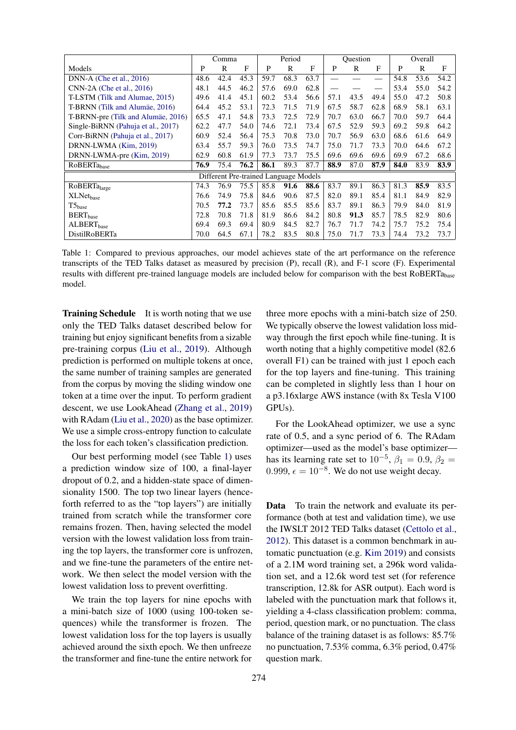<span id="page-2-0"></span>

|                                       |      | Comma |      | Period |      | Question |      |      | Overall |      |      |      |
|---------------------------------------|------|-------|------|--------|------|----------|------|------|---------|------|------|------|
| Models                                | P    | R     | F    | P      | R    | F        | P    | R    | F       | P    | R    | F    |
| $DNN-A$ (Che et al., 2016)            | 48.6 | 42.4  | 45.3 | 59.7   | 68.3 | 63.7     |      |      |         | 54.8 | 53.6 | 54.2 |
| CNN-2A (Che et al., 2016)             | 48.1 | 44.5  | 46.2 | 57.6   | 69.0 | 62.8     |      |      |         | 53.4 | 55.0 | 54.2 |
| T-LSTM (Tilk and Alumae, 2015)        | 49.6 | 41.4  | 45.1 | 60.2   | 53.4 | 56.6     | 57.1 | 43.5 | 49.4    | 55.0 | 47.2 | 50.8 |
| T-BRNN (Tilk and Alumäe, 2016)        | 64.4 | 45.2  | 53.1 | 72.3   | 71.5 | 71.9     | 67.5 | 58.7 | 62.8    | 68.9 | 58.1 | 63.1 |
| T-BRNN-pre (Tilk and Alumäe, 2016)    | 65.5 | 47.1  | 54.8 | 73.3   | 72.5 | 72.9     | 70.7 | 63.0 | 66.7    | 70.0 | 59.7 | 64.4 |
| Single-BiRNN (Pahuja et al., 2017)    | 62.2 | 47.7  | 54.0 | 74.6   | 72.1 | 73.4     | 67.5 | 52.9 | 59.3    | 69.2 | 59.8 | 64.2 |
| Corr-BiRNN (Pahuja et al., 2017)      | 60.9 | 52.4  | 56.4 | 75.3   | 70.8 | 73.0     | 70.7 | 56.9 | 63.0    | 68.6 | 61.6 | 64.9 |
| DRNN-LWMA (Kim, 2019)                 | 63.4 | 55.7  | 59.3 | 76.0   | 73.5 | 74.7     | 75.0 | 71.7 | 73.3    | 70.0 | 64.6 | 67.2 |
| DRNN-LWMA-pre (Kim, 2019)             | 62.9 | 60.8  | 61.9 | 77.3   | 73.7 | 75.5     | 69.6 | 69.6 | 69.6    | 69.9 | 67.2 | 68.6 |
| <b>RoBERTabase</b>                    | 76.9 | 75.4  | 76.2 | 86.1   | 89.3 | 87.7     | 88.9 | 87.0 | 87.9    | 84.0 | 83.9 | 83.9 |
| Different Pre-trained Language Models |      |       |      |        |      |          |      |      |         |      |      |      |
| RoBERTalarge                          | 74.3 | 76.9  | 75.5 | 85.8   | 91.6 | 88.6     | 83.7 | 89.1 | 86.3    | 81.3 | 85.9 | 83.5 |
| XLNetbase                             | 76.6 | 74.9  | 75.8 | 84.6   | 90.6 | 87.5     | 82.0 | 89.1 | 85.4    | 81.1 | 84.9 | 82.9 |
| $T5_{base}$                           | 70.5 | 77.2  | 73.7 | 85.6   | 85.5 | 85.6     | 83.7 | 89.1 | 86.3    | 79.9 | 84.0 | 81.9 |
| <b>BERT</b> <sub>base</sub>           | 72.8 | 70.8  | 71.8 | 81.9   | 86.6 | 84.2     | 80.8 | 91.3 | 85.7    | 78.5 | 82.9 | 80.6 |
| $ALBERT_{base}$                       | 69.4 | 69.3  | 69.4 | 80.9   | 84.5 | 82.7     | 76.7 | 71.7 | 74.2    | 75.7 | 75.2 | 75.4 |
| DistilRoBERTa                         | 70.0 | 64.5  | 67.1 | 78.2   | 83.5 | 80.8     | 75.0 | 71.7 | 73.3    | 74.4 | 73.2 | 73.7 |

Table 1: Compared to previous approaches, our model achieves state of the art performance on the reference transcripts of the TED Talks dataset as measured by precision (P), recall (R), and F-1 score (F). Experimental results with different pre-trained language models are included below for comparison with the best RoBERTa<sub>base</sub> model.

Training Schedule It is worth noting that we use only the TED Talks dataset described below for training but enjoy significant benefits from a sizable pre-training corpus [\(Liu et al.,](#page-5-13) [2019\)](#page-5-13). Although prediction is performed on multiple tokens at once, the same number of training samples are generated from the corpus by moving the sliding window one token at a time over the input. To perform gradient descent, we use LookAhead [\(Zhang et al.,](#page-6-16) [2019\)](#page-6-16) with RAdam [\(Liu et al.,](#page-5-16) [2020\)](#page-5-16) as the base optimizer. We use a simple cross-entropy function to calculate the loss for each token's classification prediction.

Our best performing model (see Table [1\)](#page-2-0) uses a prediction window size of 100, a final-layer dropout of 0.2, and a hidden-state space of dimensionality 1500. The top two linear layers (henceforth referred to as the "top layers") are initially trained from scratch while the transformer core remains frozen. Then, having selected the model version with the lowest validation loss from training the top layers, the transformer core is unfrozen, and we fine-tune the parameters of the entire network. We then select the model version with the lowest validation loss to prevent overfitting.

We train the top layers for nine epochs with a mini-batch size of 1000 (using 100-token sequences) while the transformer is frozen. The lowest validation loss for the top layers is usually achieved around the sixth epoch. We then unfreeze the transformer and fine-tune the entire network for

three more epochs with a mini-batch size of 250. We typically observe the lowest validation loss midway through the first epoch while fine-tuning. It is worth noting that a highly competitive model (82.6 overall F1) can be trained with just 1 epoch each for the top layers and fine-tuning. This training can be completed in slightly less than 1 hour on a p3.16xlarge AWS instance (with 8x Tesla V100 GPUs).

For the LookAhead optimizer, we use a sync rate of 0.5, and a sync period of 6. The RAdam optimizer—used as the model's base optimizer has its learning rate set to  $10^{-5}$ ,  $\beta_1 = 0.9$ ,  $\beta_2 =$ 0.999,  $\epsilon = 10^{-8}$ . We do not use weight decay.

Data To train the network and evaluate its performance (both at test and validation time), we use the IWSLT 2012 TED Talks dataset [\(Cettolo et al.,](#page-4-7) [2012\)](#page-4-7). This dataset is a common benchmark in automatic punctuation (e.g. [Kim](#page-5-10) [2019\)](#page-5-10) and consists of a 2.1M word training set, a 296k word validation set, and a 12.6k word test set (for reference transcription, 12.8k for ASR output). Each word is labeled with the punctuation mark that follows it, yielding a 4-class classification problem: comma, period, question mark, or no punctuation. The class balance of the training dataset is as follows: 85.7% no punctuation, 7.53% comma, 6.3% period, 0.47% question mark.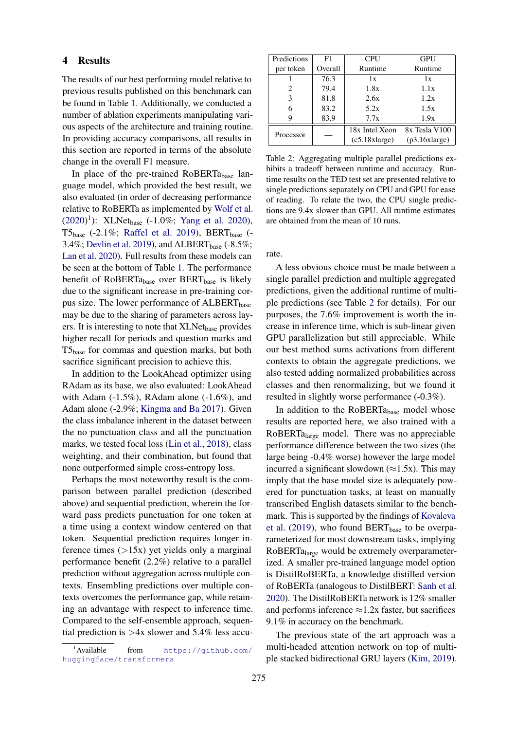#### 4 Results

The results of our best performing model relative to previous results published on this benchmark can be found in Table [1.](#page-2-0) Additionally, we conducted a number of ablation experiments manipulating various aspects of the architecture and training routine. In providing accuracy comparisons, all results in this section are reported in terms of the absolute change in the overall F1 measure.

In place of the pre-trained RoBERTa<sub>base</sub> language model, which provided the best result, we also evaluated (in order of decreasing performance relative to RoBERTa as implemented by [Wolf et al.](#page-6-17)  $(2020)^1$  $(2020)^1$  $(2020)^1$ : XLNet<sub>base</sub> (-1.0%; [Yang et al.](#page-6-18) [2020\)](#page-6-18), T5<sub>base</sub> (-2.1%; [Raffel et al.](#page-6-19) [2019\)](#page-6-19), BERT<sub>base</sub> (-3.4%; [Devlin et al.](#page-4-0) [2019\)](#page-4-0), and ALBERT<sub>base</sub>  $(-8.5\%;$ [Lan et al.](#page-5-17) [2020\)](#page-5-17). Full results from these models can be seen at the bottom of Table [1.](#page-2-0) The performance benefit of RoBERT $a_{base}$  over BERT $_{base}$  is likely due to the significant increase in pre-training corpus size. The lower performance of  $ALBERT_{base}$ may be due to the sharing of parameters across layers. It is interesting to note that XLNetbase provides higher recall for periods and question marks and  $T5_{base}$  for commas and question marks, but both sacrifice significant precision to achieve this.

In addition to the LookAhead optimizer using RAdam as its base, we also evaluated: LookAhead with Adam  $(-1.5\%)$ , RAdam alone  $(-1.6\%)$ , and Adam alone (-2.9%; [Kingma and Ba](#page-5-18) [2017\)](#page-5-18). Given the class imbalance inherent in the dataset between the no punctuation class and all the punctuation marks, we tested focal loss [\(Lin et al.,](#page-5-19) [2018\)](#page-5-19), class weighting, and their combination, but found that none outperformed simple cross-entropy loss.

Perhaps the most noteworthy result is the comparison between parallel prediction (described above) and sequential prediction, wherein the forward pass predicts punctuation for one token at a time using a context window centered on that token. Sequential prediction requires longer inference times  $(>15x)$  yet yields only a marginal performance benefit (2.2%) relative to a parallel prediction without aggregation across multiple contexts. Ensembling predictions over multiple contexts overcomes the performance gap, while retaining an advantage with respect to inference time. Compared to the self-ensemble approach, sequential prediction is  $>4x$  slower and 5.4% less accu-

<span id="page-3-1"></span>

| Predictions | F1      | <b>CPU</b>     | <b>GPU</b>    |  |  |
|-------------|---------|----------------|---------------|--|--|
| per token   | Overall | Runtime        | Runtime       |  |  |
|             | 76.3    | 1x             | 1 x           |  |  |
| 2           | 79.4    | 1.8x           | 1.1x          |  |  |
| 3           | 81.8    | 2.6x           | 1.2x          |  |  |
|             | 83.2    | 5.2x           | 1.5x          |  |  |
|             | 83.9    | 7.7x           | 1.9x          |  |  |
| Processor   |         | 18x Intel Xeon | 8x Tesla V100 |  |  |
|             |         | (c5.18xlarge)  | (p3.16xlarge) |  |  |

Table 2: Aggregating multiple parallel predictions exhibits a tradeoff between runtime and accuracy. Runtime results on the TED test set are presented relative to single predictions separately on CPU and GPU for ease of reading. To relate the two, the CPU single predictions are 9.4x slower than GPU. All runtime estimates are obtained from the mean of 10 runs.

rate.

A less obvious choice must be made between a single parallel prediction and multiple aggregated predictions, given the additional runtime of multiple predictions (see Table [2](#page-3-1) for details). For our purposes, the 7.6% improvement is worth the increase in inference time, which is sub-linear given GPU parallelization but still appreciable. While our best method sums activations from different contexts to obtain the aggregate predictions, we also tested adding normalized probabilities across classes and then renormalizing, but we found it resulted in slightly worse performance (-0.3%).

In addition to the RoBERTa<sub>base</sub> model whose results are reported here, we also trained with a RoBERTa<sub>large</sub> model. There was no appreciable performance difference between the two sizes (the large being -0.4% worse) however the large model incurred a significant slowdown ( $\approx$ 1.5x). This may imply that the base model size is adequately powered for punctuation tasks, at least on manually transcribed English datasets similar to the benchmark. This is supported by the findings of [Kovaleva](#page-5-20) [et al.](#page-5-20)  $(2019)$ , who found BERT<sub>base</sub> to be overparameterized for most downstream tasks, implying RoBERTalarge would be extremely overparameterized. A smaller pre-trained language model option is DistilRoBERTa, a knowledge distilled version of RoBERTa (analogous to DistilBERT: [Sanh et al.](#page-6-20) [2020\)](#page-6-20). The DistilRoBERTa network is 12% smaller and performs inference  $\approx$ 1.2x faster, but sacrifices 9.1% in accuracy on the benchmark.

The previous state of the art approach was a multi-headed attention network on top of multiple stacked bidirectional GRU layers [\(Kim,](#page-5-10) [2019\)](#page-5-10).

<span id="page-3-0"></span><sup>&</sup>lt;sup>1</sup>Available from [https://github.com/](https://github.com/huggingface/transformers) [huggingface/transformers](https://github.com/huggingface/transformers)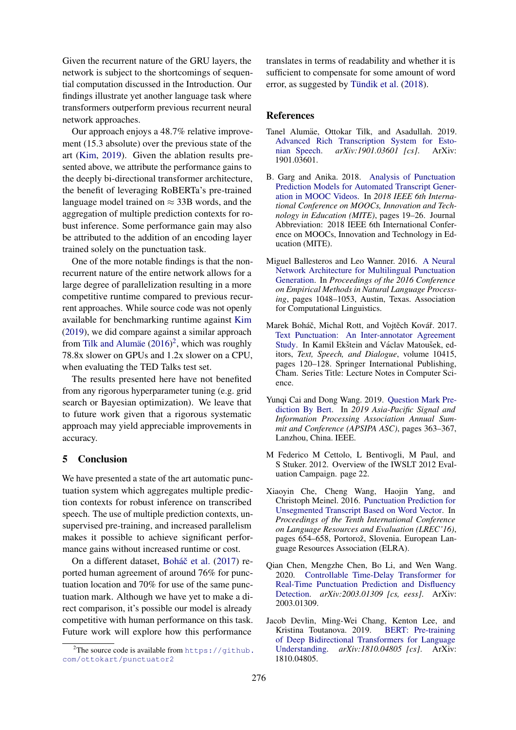Given the recurrent nature of the GRU layers, the network is subject to the shortcomings of sequential computation discussed in the Introduction. Our findings illustrate yet another language task where transformers outperform previous recurrent neural network approaches.

Our approach enjoys a 48.7% relative improvement (15.3 absolute) over the previous state of the art [\(Kim,](#page-5-10) [2019\)](#page-5-10). Given the ablation results presented above, we attribute the performance gains to the deeply bi-directional transformer architecture, the benefit of leveraging RoBERTa's pre-trained language model trained on  $\approx$  33B words, and the aggregation of multiple prediction contexts for robust inference. Some performance gain may also be attributed to the addition of an encoding layer trained solely on the punctuation task.

One of the more notable findings is that the nonrecurrent nature of the entire network allows for a large degree of parallelization resulting in a more competitive runtime compared to previous recurrent approaches. While source code was not openly available for benchmarking runtime against [Kim](#page-5-10) [\(2019\)](#page-5-10), we did compare against a similar approach from Tilk and Alumäe  $(2016)^2$  $(2016)^2$  $(2016)^2$ , which was roughly 78.8x slower on GPUs and 1.2x slower on a CPU, when evaluating the TED Talks test set.

The results presented here have not benefited from any rigorous hyperparameter tuning (e.g. grid search or Bayesian optimization). We leave that to future work given that a rigorous systematic approach may yield appreciable improvements in accuracy.

## 5 Conclusion

We have presented a state of the art automatic punctuation system which aggregates multiple prediction contexts for robust inference on transcribed speech. The use of multiple prediction contexts, unsupervised pre-training, and increased parallelism makes it possible to achieve significant performance gains without increased runtime or cost.

On a different dataset, Boháč et al. [\(2017\)](#page-4-9) reported human agreement of around 76% for punctuation location and 70% for use of the same punctuation mark. Although we have yet to make a direct comparison, it's possible our model is already competitive with human performance on this task. Future work will explore how this performance

translates in terms of readability and whether it is sufficient to compensate for some amount of word error, as suggested by Tündik et al.  $(2018)$ .

#### References

- <span id="page-4-2"></span>Tanel Alumäe, Ottokar Tilk, and Asadullah. 2019. [Advanced Rich Transcription System for Esto](https://doi.org/10.3233/978-1-61499-912-6-1)[nian Speech.](https://doi.org/10.3233/978-1-61499-912-6-1) *arXiv:1901.03601 [cs]*. ArXiv: 1901.03601.
- <span id="page-4-3"></span>B. Garg and Anika. 2018. [Analysis of Punctuation](https://doi.org/10.1109/MITE.2018.8747063) [Prediction Models for Automated Transcript Gener](https://doi.org/10.1109/MITE.2018.8747063)[ation in MOOC Videos.](https://doi.org/10.1109/MITE.2018.8747063) In *2018 IEEE 6th International Conference on MOOCs, Innovation and Technology in Education (MITE)*, pages 19–26. Journal Abbreviation: 2018 IEEE 6th International Conference on MOOCs, Innovation and Technology in Education (MITE).
- <span id="page-4-1"></span>Miguel Ballesteros and Leo Wanner. 2016. [A Neural](https://doi.org/10.18653/v1/D16-1111) [Network Architecture for Multilingual Punctuation](https://doi.org/10.18653/v1/D16-1111) [Generation.](https://doi.org/10.18653/v1/D16-1111) In *Proceedings of the 2016 Conference on Empirical Methods in Natural Language Processing*, pages 1048–1053, Austin, Texas. Association for Computational Linguistics.
- <span id="page-4-9"></span>Marek Boháč, Michal Rott, and Vojtěch Kovář. 2017. [Text Punctuation: An Inter-annotator Agreement](https://doi.org/10.1007/978-3-319-64206-2_14) [Study.](https://doi.org/10.1007/978-3-319-64206-2_14) In Kamil Ekštein and Václav Matoušek, editors, *Text, Speech, and Dialogue*, volume 10415, pages 120–128. Springer International Publishing, Cham. Series Title: Lecture Notes in Computer Science.
- <span id="page-4-6"></span>Yunqi Cai and Dong Wang. 2019. [Question Mark Pre](https://doi.org/10.1109/APSIPAASC47483.2019.9023090)[diction By Bert.](https://doi.org/10.1109/APSIPAASC47483.2019.9023090) In *2019 Asia-Pacific Signal and Information Processing Association Annual Summit and Conference (APSIPA ASC)*, pages 363–367, Lanzhou, China. IEEE.
- <span id="page-4-7"></span>M Federico M Cettolo, L Bentivogli, M Paul, and S Stuker. 2012. Overview of the IWSLT 2012 Evaluation Campaign. page 22.
- <span id="page-4-4"></span>Xiaoyin Che, Cheng Wang, Haojin Yang, and Christoph Meinel. 2016. [Punctuation Prediction for](https://www.aclweb.org/anthology/L16-1103) [Unsegmented Transcript Based on Word Vector.](https://www.aclweb.org/anthology/L16-1103) In *Proceedings of the Tenth International Conference on Language Resources and Evaluation (LREC'16)*, pages 654–658, Portorož, Slovenia. European Language Resources Association (ELRA).
- <span id="page-4-5"></span>Qian Chen, Mengzhe Chen, Bo Li, and Wen Wang. 2020. [Controllable Time-Delay Transformer for](http://arxiv.org/abs/2003.01309) [Real-Time Punctuation Prediction and Disfluency](http://arxiv.org/abs/2003.01309) [Detection.](http://arxiv.org/abs/2003.01309) *arXiv:2003.01309 [cs, eess]*. ArXiv: 2003.01309.
- <span id="page-4-0"></span>Jacob Devlin, Ming-Wei Chang, Kenton Lee, and Kristina Toutanova. 2019. [BERT: Pre-training](http://arxiv.org/abs/1810.04805) [of Deep Bidirectional Transformers for Language](http://arxiv.org/abs/1810.04805) [Understanding.](http://arxiv.org/abs/1810.04805) *arXiv:1810.04805 [cs]*. ArXiv: 1810.04805.

<span id="page-4-8"></span><sup>&</sup>lt;sup>2</sup>The source code is available from  $https://github.$ [com/ottokart/punctuator2](https://github.com/ottokart/punctuator2)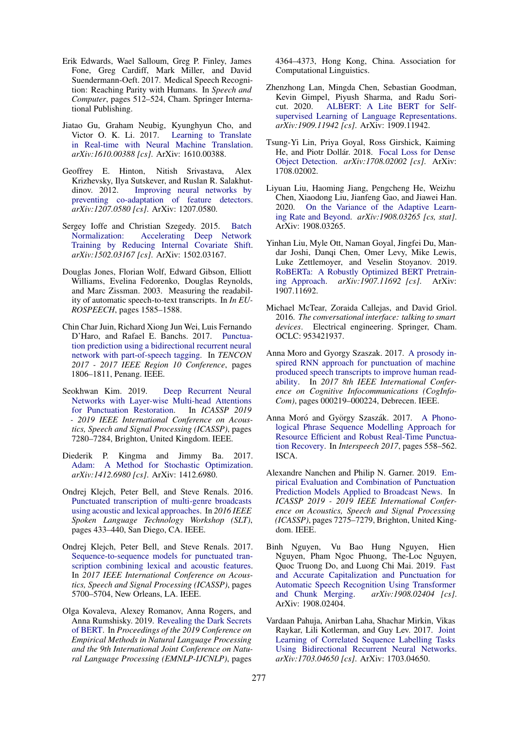- <span id="page-5-0"></span>Erik Edwards, Wael Salloum, Greg P. Finley, James Fone, Greg Cardiff, Mark Miller, and David Suendermann-Oeft. 2017. Medical Speech Recognition: Reaching Parity with Humans. In *Speech and Computer*, pages 512–524, Cham. Springer International Publishing.
- <span id="page-5-1"></span>Jiatao Gu, Graham Neubig, Kyunghyun Cho, and Victor O. K. Li. 2017. [Learning to Translate](http://arxiv.org/abs/1610.00388) [in Real-time with Neural Machine Translation.](http://arxiv.org/abs/1610.00388) *arXiv:1610.00388 [cs]*. ArXiv: 1610.00388.
- <span id="page-5-15"></span>Geoffrey E. Hinton, Nitish Srivastava, Alex Krizhevsky, Ilya Sutskever, and Ruslan R. Salakhutdinov. 2012. [Improving neural networks by](http://arxiv.org/abs/1207.0580) [preventing co-adaptation of feature detectors.](http://arxiv.org/abs/1207.0580) *arXiv:1207.0580 [cs]*. ArXiv: 1207.0580.
- <span id="page-5-14"></span>Sergey Ioffe and Christian Szegedy. 2015. [Batch](http://arxiv.org/abs/1502.03167) [Normalization: Accelerating Deep Network](http://arxiv.org/abs/1502.03167) [Training by Reducing Internal Covariate Shift.](http://arxiv.org/abs/1502.03167) *arXiv:1502.03167 [cs]*. ArXiv: 1502.03167.
- <span id="page-5-3"></span>Douglas Jones, Florian Wolf, Edward Gibson, Elliott Williams, Evelina Fedorenko, Douglas Reynolds, and Marc Zissman. 2003. Measuring the readability of automatic speech-to-text transcripts. In *In EU-ROSPEECH*, pages 1585–1588.
- <span id="page-5-11"></span>Chin Char Juin, Richard Xiong Jun Wei, Luis Fernando D'Haro, and Rafael E. Banchs. 2017. [Punctua](https://doi.org/10.1109/TENCON.2017.8228151)[tion prediction using a bidirectional recurrent neural](https://doi.org/10.1109/TENCON.2017.8228151) [network with part-of-speech tagging.](https://doi.org/10.1109/TENCON.2017.8228151) In *TENCON 2017 - 2017 IEEE Region 10 Conference*, pages 1806–1811, Penang. IEEE.
- <span id="page-5-10"></span>Seokhwan Kim. 2019. [Deep Recurrent Neural](https://doi.org/10.1109/ICASSP.2019.8682418) [Networks with Layer-wise Multi-head Attentions](https://doi.org/10.1109/ICASSP.2019.8682418) [for Punctuation Restoration.](https://doi.org/10.1109/ICASSP.2019.8682418) In *ICASSP 2019 - 2019 IEEE International Conference on Acoustics, Speech and Signal Processing (ICASSP)*, pages 7280–7284, Brighton, United Kingdom. IEEE.
- <span id="page-5-18"></span>Diederik P. Kingma and Jimmy Ba. 2017. [Adam: A Method for Stochastic Optimization.](http://arxiv.org/abs/1412.6980) *arXiv:1412.6980 [cs]*. ArXiv: 1412.6980.
- <span id="page-5-8"></span>Ondrej Klejch, Peter Bell, and Steve Renals. 2016. [Punctuated transcription of multi-genre broadcasts](https://doi.org/10.1109/SLT.2016.7846300) [using acoustic and lexical approaches.](https://doi.org/10.1109/SLT.2016.7846300) In *2016 IEEE Spoken Language Technology Workshop (SLT)*, pages 433–440, San Diego, CA. IEEE.
- <span id="page-5-9"></span>Ondrej Klejch, Peter Bell, and Steve Renals. 2017. [Sequence-to-sequence models for punctuated tran](https://doi.org/10.1109/ICASSP.2017.7953248)[scription combining lexical and acoustic features.](https://doi.org/10.1109/ICASSP.2017.7953248) In *2017 IEEE International Conference on Acoustics, Speech and Signal Processing (ICASSP)*, pages 5700–5704, New Orleans, LA. IEEE.
- <span id="page-5-20"></span>Olga Kovaleva, Alexey Romanov, Anna Rogers, and Anna Rumshisky. 2019. [Revealing the Dark Secrets](https://doi.org/10.18653/v1/D19-1445) [of BERT.](https://doi.org/10.18653/v1/D19-1445) In *Proceedings of the 2019 Conference on Empirical Methods in Natural Language Processing and the 9th International Joint Conference on Natural Language Processing (EMNLP-IJCNLP)*, pages

4364–4373, Hong Kong, China. Association for Computational Linguistics.

- <span id="page-5-17"></span>Zhenzhong Lan, Mingda Chen, Sebastian Goodman, Kevin Gimpel, Piyush Sharma, and Radu Soricut. 2020. [ALBERT: A Lite BERT for Self](http://arxiv.org/abs/1909.11942)[supervised Learning of Language Representations.](http://arxiv.org/abs/1909.11942) *arXiv:1909.11942 [cs]*. ArXiv: 1909.11942.
- <span id="page-5-19"></span>Tsung-Yi Lin, Priya Goyal, Ross Girshick, Kaiming He, and Piotr Dollár. 2018. [Focal Loss for Dense](http://arxiv.org/abs/1708.02002) [Object Detection.](http://arxiv.org/abs/1708.02002) *arXiv:1708.02002 [cs]*. ArXiv: 1708.02002.
- <span id="page-5-16"></span>Liyuan Liu, Haoming Jiang, Pengcheng He, Weizhu Chen, Xiaodong Liu, Jianfeng Gao, and Jiawei Han. 2020. [On the Variance of the Adaptive Learn](http://arxiv.org/abs/1908.03265)[ing Rate and Beyond.](http://arxiv.org/abs/1908.03265) *arXiv:1908.03265 [cs, stat]*. ArXiv: 1908.03265.
- <span id="page-5-13"></span>Yinhan Liu, Myle Ott, Naman Goyal, Jingfei Du, Mandar Joshi, Danqi Chen, Omer Levy, Mike Lewis, Luke Zettlemoyer, and Veselin Stoyanov. 2019. [RoBERTa: A Robustly Optimized BERT Pretrain](http://arxiv.org/abs/1907.11692)[ing Approach.](http://arxiv.org/abs/1907.11692) *arXiv:1907.11692 [cs]*. ArXiv: 1907.11692.
- <span id="page-5-2"></span>Michael McTear, Zoraida Callejas, and David Griol. 2016. *The conversational interface: talking to smart devices*. Electrical engineering. Springer, Cham. OCLC: 953421937.
- <span id="page-5-5"></span>Anna Moro and Gyorgy Szaszak. 2017. [A prosody in](https://doi.org/10.1109/CogInfoCom.2017.8268246)[spired RNN approach for punctuation of machine](https://doi.org/10.1109/CogInfoCom.2017.8268246) [produced speech transcripts to improve human read](https://doi.org/10.1109/CogInfoCom.2017.8268246)[ability.](https://doi.org/10.1109/CogInfoCom.2017.8268246) In *2017 8th IEEE International Conference on Cognitive Infocommunications (CogInfo-Com)*, pages 000219–000224, Debrecen. IEEE.
- <span id="page-5-7"></span>Anna Moró and György Szaszák. 2017. [A Phono](https://doi.org/10.21437/Interspeech.2017-204)[logical Phrase Sequence Modelling Approach for](https://doi.org/10.21437/Interspeech.2017-204) [Resource Efficient and Robust Real-Time Punctua](https://doi.org/10.21437/Interspeech.2017-204)[tion Recovery.](https://doi.org/10.21437/Interspeech.2017-204) In *Interspeech 2017*, pages 558–562. ISCA.
- <span id="page-5-6"></span>Alexandre Nanchen and Philip N. Garner. 2019. [Em](https://doi.org/10.1109/ICASSP.2019.8683796)[pirical Evaluation and Combination of Punctuation](https://doi.org/10.1109/ICASSP.2019.8683796) [Prediction Models Applied to Broadcast News.](https://doi.org/10.1109/ICASSP.2019.8683796) In *ICASSP 2019 - 2019 IEEE International Conference on Acoustics, Speech and Signal Processing (ICASSP)*, pages 7275–7279, Brighton, United Kingdom. IEEE.
- <span id="page-5-12"></span>Binh Nguyen, Vu Bao Hung Nguyen, Hien Nguyen, Pham Ngoc Phuong, The-Loc Nguyen, Quoc Truong Do, and Luong Chi Mai. 2019. [Fast](http://arxiv.org/abs/1908.02404) [and Accurate Capitalization and Punctuation for](http://arxiv.org/abs/1908.02404) [Automatic Speech Recognition Using Transformer](http://arxiv.org/abs/1908.02404)<br>and Chunk Merging.  $arXiv:1908.02404$  [cs]. [and Chunk Merging.](http://arxiv.org/abs/1908.02404) ArXiv: 1908.02404.
- <span id="page-5-4"></span>Vardaan Pahuja, Anirban Laha, Shachar Mirkin, Vikas Raykar, Lili Kotlerman, and Guy Lev. 2017. [Joint](http://arxiv.org/abs/1703.04650) [Learning of Correlated Sequence Labelling Tasks](http://arxiv.org/abs/1703.04650) [Using Bidirectional Recurrent Neural Networks.](http://arxiv.org/abs/1703.04650) *arXiv:1703.04650 [cs]*. ArXiv: 1703.04650.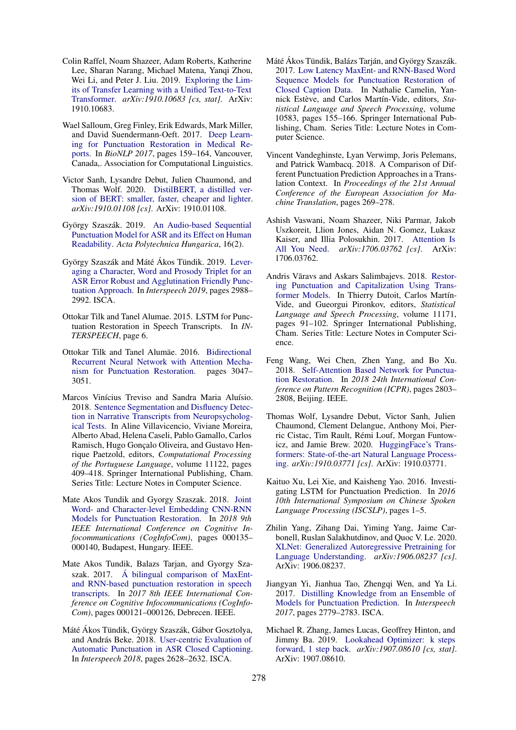- <span id="page-6-19"></span>Colin Raffel, Noam Shazeer, Adam Roberts, Katherine Lee, Sharan Narang, Michael Matena, Yanqi Zhou, Wei Li, and Peter J. Liu. 2019. [Exploring the Lim](http://arxiv.org/abs/1910.10683)[its of Transfer Learning with a Unified Text-to-Text](http://arxiv.org/abs/1910.10683) [Transformer.](http://arxiv.org/abs/1910.10683) *arXiv:1910.10683 [cs, stat]*. ArXiv: 1910.10683.
- <span id="page-6-12"></span>Wael Salloum, Greg Finley, Erik Edwards, Mark Miller, and David Suendermann-Oeft. 2017. [Deep Learn](https://doi.org/10.18653/v1/W17-2319)[ing for Punctuation Restoration in Medical Re](https://doi.org/10.18653/v1/W17-2319)[ports.](https://doi.org/10.18653/v1/W17-2319) In *BioNLP 2017*, pages 159–164, Vancouver, Canada,. Association for Computational Linguistics.
- <span id="page-6-20"></span>Victor Sanh, Lysandre Debut, Julien Chaumond, and Thomas Wolf. 2020. [DistilBERT, a distilled ver](http://arxiv.org/abs/1910.01108)[sion of BERT: smaller, faster, cheaper and lighter.](http://arxiv.org/abs/1910.01108) *arXiv:1910.01108 [cs]*. ArXiv: 1910.01108.
- <span id="page-6-4"></span>György Szaszák. 2019. [An Audio-based Sequential](https://doi.org/10.12700/APH.16.2.2019.2.6) [Punctuation Model for ASR and its Effect on Human](https://doi.org/10.12700/APH.16.2.2019.2.6) [Readability.](https://doi.org/10.12700/APH.16.2.2019.2.6) *Acta Polytechnica Hungarica*, 16(2).
- <span id="page-6-10"></span>György Szaszák and Máté Ákos Tündik. 2019. [Lever](https://doi.org/10.21437/Interspeech.2019-2132)[aging a Character, Word and Prosody Triplet for an](https://doi.org/10.21437/Interspeech.2019-2132) [ASR Error Robust and Agglutination Friendly Punc](https://doi.org/10.21437/Interspeech.2019-2132)[tuation Approach.](https://doi.org/10.21437/Interspeech.2019-2132) In *Interspeech 2019*, pages 2988– 2992. ISCA.
- <span id="page-6-8"></span>Ottokar Tilk and Tanel Alumae. 2015. LSTM for Punctuation Restoration in Speech Transcripts. In *IN-TERSPEECH*, page 6.
- <span id="page-6-11"></span>Ottokar Tilk and Tanel Alumäe. 2016. [Bidirectional](https://doi.org/10.21437/Interspeech.2016-1517) [Recurrent Neural Network with Attention Mecha](https://doi.org/10.21437/Interspeech.2016-1517)[nism for Punctuation Restoration.](https://doi.org/10.21437/Interspeech.2016-1517) pages 3047– 3051.
- <span id="page-6-9"></span>Marcos Vinícius Treviso and Sandra Maria Aluísio. 2018. [Sentence Segmentation and Disfluency Detec](https://doi.org/10.1007/978-3-319-99722-3_41)[tion in Narrative Transcripts from Neuropsycholog](https://doi.org/10.1007/978-3-319-99722-3_41)[ical Tests.](https://doi.org/10.1007/978-3-319-99722-3_41) In Aline Villavicencio, Viviane Moreira, Alberto Abad, Helena Caseli, Pablo Gamallo, Carlos Ramisch, Hugo Goncalo Oliveira, and Gustavo Henrique Paetzold, editors, *Computational Processing of the Portuguese Language*, volume 11122, pages 409–418. Springer International Publishing, Cham. Series Title: Lecture Notes in Computer Science.
- <span id="page-6-6"></span>Mate Akos Tundik and Gyorgy Szaszak. 2018. [Joint](https://doi.org/10.1109/CogInfoCom.2018.8639876) [Word- and Character-level Embedding CNN-RNN](https://doi.org/10.1109/CogInfoCom.2018.8639876) [Models for Punctuation Restoration.](https://doi.org/10.1109/CogInfoCom.2018.8639876) In *2018 9th IEEE International Conference on Cognitive Infocommunications (CogInfoCom)*, pages 000135– 000140, Budapest, Hungary. IEEE.
- <span id="page-6-3"></span>Mate Akos Tundik, Balazs Tarjan, and Gyorgy Szaszak. 2017. Á bilingual comparison of MaxEnt[and RNN-based punctuation restoration in speech](https://doi.org/10.1109/CogInfoCom.2017.8268227) [transcripts.](https://doi.org/10.1109/CogInfoCom.2017.8268227) In *2017 8th IEEE International Conference on Cognitive Infocommunications (CogInfo-Com)*, pages 000121–000126, Debrecen. IEEE.
- <span id="page-6-0"></span>Máté Ákos Tündik, György Szaszák, Gábor Gosztolya, and András Beke. 2018. [User-centric Evaluation of](https://doi.org/10.21437/Interspeech.2018-1352) [Automatic Punctuation in ASR Closed Captioning.](https://doi.org/10.21437/Interspeech.2018-1352) In *Interspeech 2018*, pages 2628–2632. ISCA.
- <span id="page-6-7"></span>Máté Ákos Tündik, Balázs Tarián, and György Szaszák. 2017. [Low Latency MaxEnt- and RNN-Based Word](https://doi.org/10.1007/978-3-319-68456-7_13) [Sequence Models for Punctuation Restoration of](https://doi.org/10.1007/978-3-319-68456-7_13) [Closed Caption Data.](https://doi.org/10.1007/978-3-319-68456-7_13) In Nathalie Camelin, Yannick Estève, and Carlos Martín-Vide, editors, Sta*tistical Language and Speech Processing*, volume 10583, pages 155–166. Springer International Publishing, Cham. Series Title: Lecture Notes in Computer Science.
- <span id="page-6-1"></span>Vincent Vandeghinste, Lyan Verwimp, Joris Pelemans, and Patrick Wambacq. 2018. A Comparison of Different Punctuation Prediction Approaches in a Translation Context. In *Proceedings of the 21st Annual Conference of the European Association for Machine Translation*, pages 269–278.
- <span id="page-6-2"></span>Ashish Vaswani, Noam Shazeer, Niki Parmar, Jakob Uszkoreit, Llion Jones, Aidan N. Gomez, Lukasz Kaiser, and Illia Polosukhin. 2017. [Attention Is](http://arxiv.org/abs/1706.03762) [All You Need.](http://arxiv.org/abs/1706.03762) *arXiv:1706.03762 [cs]*. ArXiv: 1706.03762.
- <span id="page-6-14"></span>Andris Vāravs and Askars Salimbajevs. 2018. [Restor](https://doi.org/10.1007/978-3-030-00810-9_9)[ing Punctuation and Capitalization Using Trans](https://doi.org/10.1007/978-3-030-00810-9_9)[former Models.](https://doi.org/10.1007/978-3-030-00810-9_9) In Thierry Dutoit, Carlos Martín-Vide, and Gueorgui Pironkov, editors, *Statistical Language and Speech Processing*, volume 11171, pages 91–102. Springer International Publishing, Cham. Series Title: Lecture Notes in Computer Science.
- <span id="page-6-15"></span>Feng Wang, Wei Chen, Zhen Yang, and Bo Xu. 2018. [Self-Attention Based Network for Punctua](https://doi.org/10.1109/ICPR.2018.8545470)[tion Restoration.](https://doi.org/10.1109/ICPR.2018.8545470) In *2018 24th International Conference on Pattern Recognition (ICPR)*, pages 2803– 2808, Beijing. IEEE.
- <span id="page-6-17"></span>Thomas Wolf, Lysandre Debut, Victor Sanh, Julien Chaumond, Clement Delangue, Anthony Moi, Pierric Cistac, Tim Rault, Remi Louf, Morgan Funtow- ´ icz, and Jamie Brew. 2020. [HuggingFace's Trans](http://arxiv.org/abs/1910.03771)[formers: State-of-the-art Natural Language Process](http://arxiv.org/abs/1910.03771)[ing.](http://arxiv.org/abs/1910.03771) *arXiv:1910.03771 [cs]*. ArXiv: 1910.03771.
- <span id="page-6-5"></span>Kaituo Xu, Lei Xie, and Kaisheng Yao. 2016. Investigating LSTM for Punctuation Prediction. In *2016 10th International Symposium on Chinese Spoken Language Processing (ISCSLP)*, pages 1–5.
- <span id="page-6-18"></span>Zhilin Yang, Zihang Dai, Yiming Yang, Jaime Carbonell, Ruslan Salakhutdinov, and Quoc V. Le. 2020. [XLNet: Generalized Autoregressive Pretraining for](http://arxiv.org/abs/1906.08237) [Language Understanding.](http://arxiv.org/abs/1906.08237) *arXiv:1906.08237 [cs]*. ArXiv: 1906.08237.
- <span id="page-6-13"></span>Jiangyan Yi, Jianhua Tao, Zhengqi Wen, and Ya Li. 2017. [Distilling Knowledge from an Ensemble of](https://doi.org/10.21437/Interspeech.2017-1079) [Models for Punctuation Prediction.](https://doi.org/10.21437/Interspeech.2017-1079) In *Interspeech 2017*, pages 2779–2783. ISCA.
- <span id="page-6-16"></span>Michael R. Zhang, James Lucas, Geoffrey Hinton, and Jimmy Ba. 2019. [Lookahead Optimizer: k steps](http://arxiv.org/abs/1907.08610) [forward, 1 step back.](http://arxiv.org/abs/1907.08610) *arXiv:1907.08610 [cs, stat]*. ArXiv: 1907.08610.